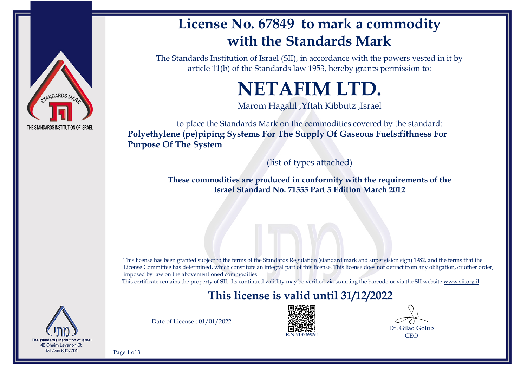

## **License No. 67849 to mark a commodity with the Standards Mark**

The Standards Institution of Israel (SII), in accordance with the powers vested in it by article 11(b) of the Standards law 1953, hereby grants permission to:

# **NETAFIM LTD.**

Marom Hagalil ,Yftah Kibbutz ,Israel

to place the Standards Mark on the commodities covered by the standard: **Polyethylene (pe)piping Systems For The Supply Of Gaseous Fuels:fithness For Purpose Of The System**

(list of types attached)

**These commodities are produced in conformity with the requirements of the Israel Standard No. 71555 Part 5 Edition March 2012**

This license has been granted subject to the terms of the Standards Regulation (standard mark and supervision sign) 1982, and the terms that the License Committee has determined, which constitute an integral part of this license. This license does not detract from any obligation, or other order, imposed by law on the abovementioned commodities

This certificate remains the property of SII. Its continued validity may be verified via scanning the barcode or via the SII website [www.sii.org.il.](http://www.sii.org.il)

## **This license is valid until 31/12/2022**



Date of License : 01/01/2022



Dr. Gilad Golub **CEO** 

Page 1 of 3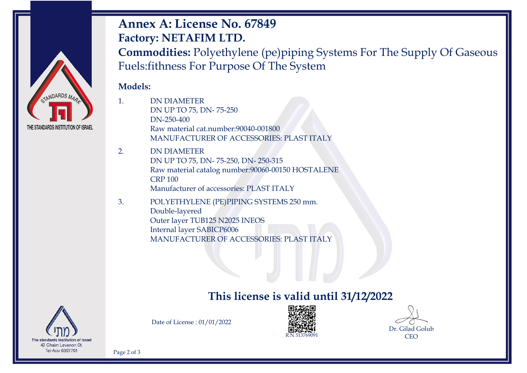

## **Annex A: License No. 67849 Factory: NETAFIM LTD.**

**Commodities:** Polyethylene (pe)piping Systems For The Supply Of Gaseous Fuels:fithness For Purpose Of The System

#### **Models:**

- 1. DN DIAMETER DN UP TO 75, DN- 75-250 DN-250-400 Raw material cat.number:90040-001800 MANUFACTURER OF ACCESSORIES: PLAST ITALY
- 2. DN DIAMETER DN UP TO 75, DN- 75-250, DN- 250-315 Raw material catalog number:90060-00150 HOSTALENE CRP 100 Manufacturer of accessories: PLAST ITALY
- 3. POLYETHYLENE (PE)PIPING SYSTEMS 250 mm. Double-layered Outer layer TUB125 N2025 INEOS Internal layer SABICP6006 MANUFACTURER OF ACCESSORIES: PLAST ITALY

## **This license is valid until 31/12/2022**



Date of License : 01/01/2022





Page 2 of 3